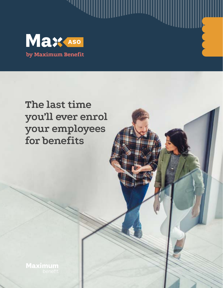

""II

# **The last time you'll ever enrol your employees for benefits**

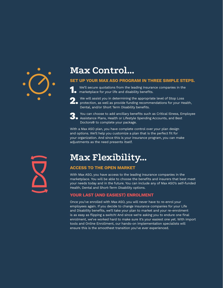

## **Max Control…**

### SET UP YOUR MAX ASO PROGRAM IN THREE SIMPLE STEPS.

We'll secure quotations from the leading insurance companies in the marketplace for your life and disability benefits.

**2.** We will assist you in determining the appropriate level of Stop Loss<br>
protection, as well as provide funding recommendations for your Health,



Dental, and/or Short Term Disability benefits.

3. You can choose to add ancillary benefits such as Critical Illness, Employee Assistance Plans, Health or Lifestyle Spending Accounts, and Best Doctors® to complete your package.

With a Max ASO plan, you have complete control over your plan design and options. We'll help you customize a plan that is the perfect fit for your organization. And since this is your insurance program, you can make adjustments as the need presents itself.

## **Max Flexibility…**

### ACCESS TO THE OPEN MARKET

With Max ASO, you have access to the leading insurance companies in the marketplace. You will be able to choose the benefits and insurers that best meet your needs today and in the future. You can include any of Max ASO's self-funded Health, Dental and Short-Term Disability options.

### YOUR LAST (AND EASIEST) ENROLMENT

Once you've enrolled with Max ASO, you will never have to re-enrol your employees again. If you decide to change insurance companies for your Life and Disability benefits, we'll take your plan to market and your re-enrolment is as easy as flipping a switch! And since we're asking you to endure one final enrolment, we've worked hard to make sure it's your easiest one yet. With import tools and Online Enrollment, our hands-on implementation specialists will ensure this is the smoothest transition you've ever experienced.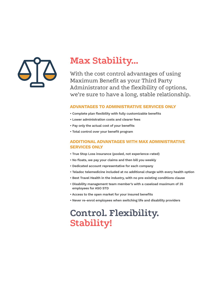

# **Max Stability…**

With the cost control advantages of using Maximum Benefit as your Third Party Administrator and the flexibility of options, we're sure to have a long, stable relationship.

### ADVANTAGES TO ADMINISTRATIVE SERVICES ONLY

- Complete plan flexibility with fully customizable benefits
- Lower administration costs and clearer fees
- Pay only the actual cost of your benefits
- Total control over your benefit program

### ADDITIONAL ADVANTAGES WITH MAX ADMINISTRATIVE SERVICES ONLY

- True Stop Loss insurance (pooled, not experience-rated)
- No floats, we pay your claims and then bill you weekly
- Dedicated account representative for each company
- Teladoc telemedicine included at no additional charge with every health option
- Best Travel Health in the industry, with no pre-existing conditions clause
- Disability management team member's with a caseload maximum of 35 employees for ASO STD
- Access to the open market for your insured benefits
- Never re-enrol employees when switching life and disability providers

# **Control. Flexibility. Stability!**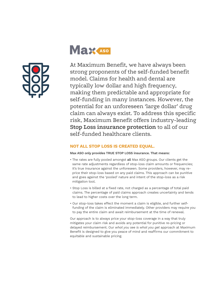

# Max Aso

At Maximum Benefit, we have always been strong proponents of the self-funded benefit model. Claims for health and dental are typically low dollar and high frequency, making them predictable and appropriate for self-funding in many instances. However, the potential for an unforeseen 'large dollar' drug claim can always exist. To address this specific risk, Maximum Benefit offers industry-leading **Stop Loss insurance protection** to all of our self-funded healthcare clients.

### NOT ALL STOP LOSS IS CREATED EQUAL.

### Max ASO only provides TRUE STOP LOSS insurance. That means:

- The rates are fully pooled amongst all Max ASO groups. Our clients get the same rate adjustments regardless of stop-loss claim amounts or frequencies; it's true insurance against the unforeseen. Some providers, however, may reprice their stop-loss based on any paid claims. This approach can be punitive and goes against the 'pooled' nature and intent of the stop-loss as a risk mitigation tool.
- Stop Loss is billed at a fixed rate, not charged as a percentage of total paid claims. The percentage of paid claims approach creates uncertainty and tends to lead to higher costs over the long term.
- Our stop-loss takes effect the moment a claim is eligible, and further selffunding of the claim is eliminated immediately. Other providers may require you to pay the entire claim and await reimbursement at the time of renewal.

Our approach is to always price your stop-loss coverage in a way that truly mitigates your claim risk and avoids any potential for punitive re-pricing or delayed reimbursement. Our *what you see is what you get* approach at Maximum Benefit is designed to give you peace of mind and reaffirms our commitment to equitable and sustainable pricing.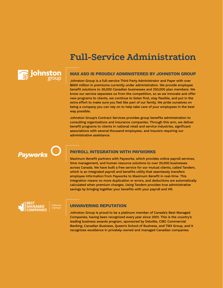## **Full-Service Administration**



#### MAX ASO IS PROUDLY ADMINISTERED BY JOHNSTON GROUP

Johnston Group is a full-service Third Party Administrator and Payer with over \$600 million in premiums currently under administration. We provide employee benefit solutions to 30,000 Canadian businesses and 250,000 plan members. We know our service separates us from the competition, so as we innovate and offer new programs to clients, we continue to listen first, stay flexible, and put in the extra effort to make sure you feel like part of our family. We pride ourselves on being a company you can rely on to help take care of your employees in the best way possible.

Johnston Group's Contract Services provides group benefits administration to consulting organizations and insurance companies. Through this arm, we deliver benefit programs to clients in national retail and service industries, significant associations with several thousand employees, and insurers requiring our administrative assistance.

**Payworks** 

### PAYROLL INTEGRATION WITH PAYWORKS

Maximum Benefit partners with Payworks, which provides online payroll services, time management, and human resource solutions to over 20,000 businesses across Canada. We have built a free service for our mutual clients, called Tandem, which is an integrated payroll and benefits utility that seamlessly transfers employee information from Payworks to Maximum Benefit in real-time. This integration means no more duplication or errors, and deductions are automatically calculated when premium changes. Using Tandem provides true administrative savings by bringing together your benefits with your payroll and HR.



#### UNWAVERING REPUTATION

Johnston Group is proud to be a platinum member of Canada's Best Managed Companies, having been recognized every year since 2001. This is the country's leading business awards program, sponsored by Deloitte, CIBC Commercial Banking, Canadian Business, Queen's School of Business, and TMX Group, and it recognizes excellence in privately-owned and managed Canadian companies.